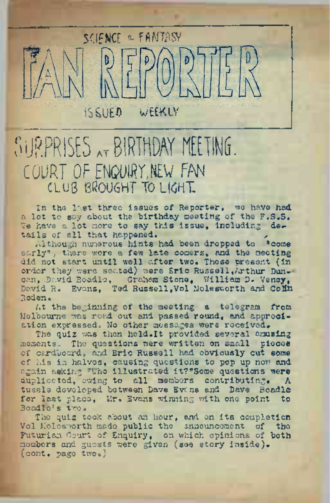# SCIENCE & FANTASY D ISSUED WEEKLY

# SURPRISES <sub>at</sub> BIRTHDAY MEETING. COURT OF ENQUIRY NEW FAN CLUg BROUGHT TO LiGHT.

In the last three issues of Reporter, we have had a lot to say about the birthday meeting of the F.S.S. Te have a lot more to say this issue, including details of all that happened.

Although numerous hints had been dropped to "come early", there were a few late comers, and the meeting did not start until well after two. Those present (in order they were sea.ted) were Eric Russell,Arthur Dun- can,.David Boadle, Graham Stone, William D. Veney, David R. Evans, Ted Russell, Vol Molesworth and Colin Roden<sup>a</sup>

At the beginning of the meeting a telegram from Melbourne was read out and passed round, and appreciation expressed. No other messages were received.

The quiz was then held. It provided several amusing moments. The questions were written on small pieces of cardboard, and Eric Russell had obviously cut some of his in halves, causing questions to pop up now and again asking 5JVZho illustrated it?"Some questions were duplicated, owing to all members contributing. <sup>A</sup> tussle developed between Dave Evans and Dave Boadle for last place, Mr. Evans winning with one point to Boadie's two.

The quiz took about an hour, and on its completion Vol Molesworth made public the announcement of the Futurian Court of Enquiry, on which opinions of both members and guests were given (see story inside), (cont. page twoo)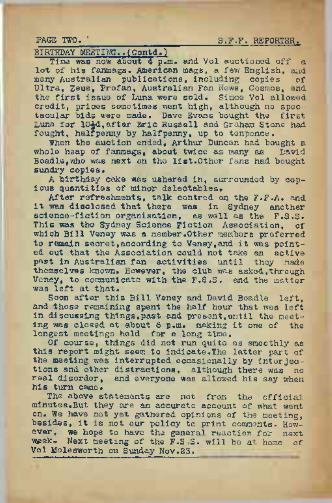## PAGE TWO. TWO. REPORTER.

BIRTHDAY MEETING..(Contd,)

Time was now about 4 p.m. and Vol auctioned off a lot of his fanmags. American mags, a few English, and many Australian publications, including copies Ultra, Zeus, Profan, Australian Fan News, Cosmos, and the first issue of Luna were sold. Since Vol allowed credit, prices sometimes went high, although no spectacular bids were made. Dave Evans bought the first Luna for 10£d,after Eric Russell and Graham Stone had fought, halfpenny by halfpenny, up to tenpence.

When the auction ended, Arthur Duncan had bought a whole heap of fanmags, about twice as many as David Boadle, who was next on the list.Other fans had bought sundry copies.

<sup>A</sup> birthday cake was ushered in, surrounded by copious quantities of minor delectables.

After refreshments, talk centred on the F.F.A. and it was disclosed that there was in Sydney another science-fiction organisation, as well as the F.S.S. This was the Sydney Science Fiction Association, of which Bill Veney was a member.Other members preferred to remain secret.according to Veney,and it was pointed out that the Association could not take an active part in Australian fan activities until they made themselves known. However, the club was asked,through Veney, to communicate with the F.S.S. and the matter was left at that.

Soon after this Bill Veney and David Boadle left, and those remaining spent the half hour that was left in discussing things,past and present,until the meeting was closed at about <sup>6</sup> p.m. making it one of the longest meetings held for a long time.

Of course, things did not run quite as smoothly as this report might seem to indicate.The latter part of the meeting was interrupted occasionally by interjections and other distractions, although there was no real disorder, and everyone was allowed his say when his turn came.

The above statements are not from the official minutes.But they are an accurate account of what went on. We have not yet gathered opinions of the meeting, besides, it is not our policy to print comments. However, we hope to have the general reaction for next week,- Next meeting of the F.S.S. will be at home of Vol Molesworth on Sunday Nov.23.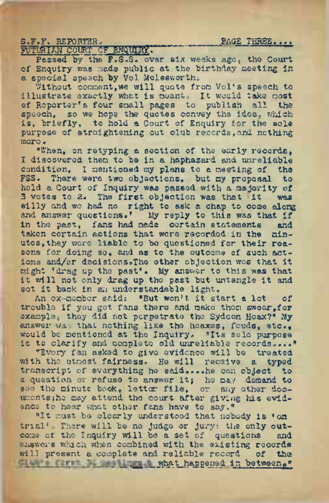### S.F.F. REPORTER. THE PAGE THREE.... FUTURIAN COURT OF ENQUIRY.

Passed by the F.S.S. over six weeks ago, the Court of Enquiry was made public at the birthday meeting in a special speech by Vol Molesworth.

Without comment, we will quote from Vol's speech to illustrate exactly what is meant. It would take most of Reporter's four small pages to publish all the speech, so we hope the quotes convey the idea, which is, briefly, to hold a Court of Enquiry for the sole purpose of straightening out club records,and. nothing more «

"When, on retyping a section of the early records, I discovered them to be in a haphazard and unreliable condition, I mentioned my plans to a meeting of the FSS. There were two objections, but my proposal to hold a Court of Inquiry was passed with a majority of 3 yotes to 2. The first objection was that it was 3 votes to 2. The first objection was that it silly and we had no right to ask a chap to come along and answer questions.' My reply to this was that if<br>in the past. fans had nede certain statements and in the past, fans had made certain statements and taken certain actions that were recorded in the nintaken certain actions that were recorded in the utos,they were liable to be questioned for their reasons for doing so, and as to the outcome of such actions and/or decisionSoThe other objection was that it might 'drag up the past\*. My answer to this was that it will not only drag up the past but untangle it and set it back in an understandable light.

An ex-member said: "But won't it start <sup>a</sup> lot of trouble if you got fans there and make them swear,for example, they did not perpetrate the Sydcon Hoax?" My *answer was* that nothing like the hoaxes, feuds, etc., would be mentioned at the Inquiry. "Its sole purpose is to clarify and complete old unreliable records...•"

"Every fan asked to give evidence will be treated with the utmost fairness. He will receive a typed transcript of everything he said....he can object to <sup>a</sup> question or refuse to answer it; he may demand to see the minute book, letter file, or any other documents; he may attend the court after giving his evidence to hear what other fans have to say."

"It must be clearly understood that nobody is 'on trial' =. There will be no judge or jury? the only out-come of the Inquiry will be a set of questions and answers which when combined with the existing records will present a complete and reliable record of the Giants first his hings. what happened in between,"